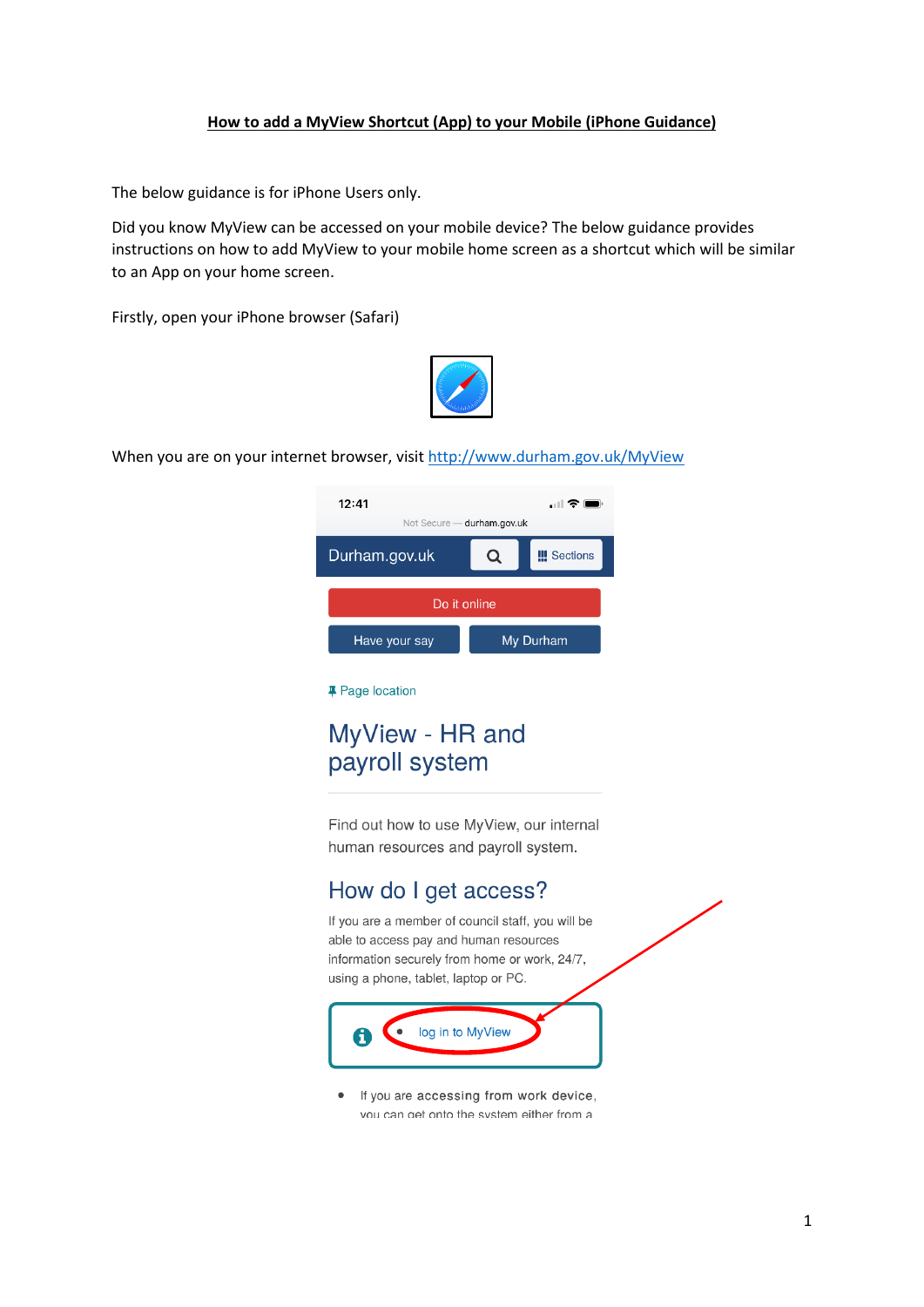## **How to add a MyView Shortcut (App) to your Mobile (iPhone Guidance)**

The below guidance is for iPhone Users only.

Did you know MyView can be accessed on your mobile device? The below guidance provides instructions on how to add MyView to your mobile home screen as a shortcut which will be similar to an App on your home screen.

Firstly, open your iPhone browser (Safari)



When you are on your internet browser, visit <http://www.durham.gov.uk/MyView>



## **# Page location**

## MyView - HR and payroll system

Find out how to use MyView, our internal human resources and payroll system.

## How do I get access?

If you are a member of council staff, you will be able to access pay and human resources information securely from home or work, 24/7, using a phone, tablet, laptop or PC.



• If you are accessing from work device, vou can get onto the system either from a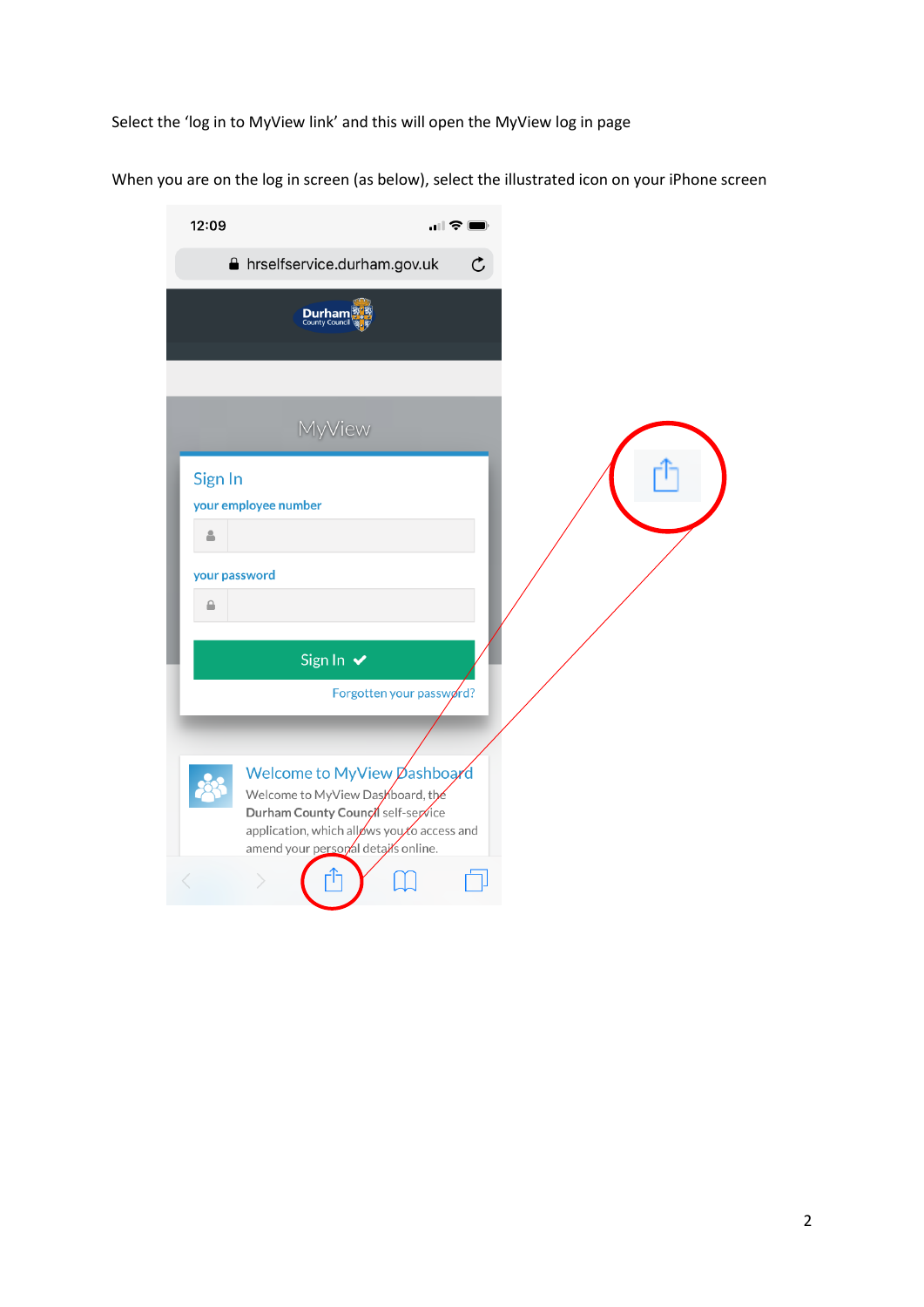Select the 'log in to MyView link' and this will open the MyView log in page

When you are on the log in screen (as below), select the illustrated icon on your iPhone screen

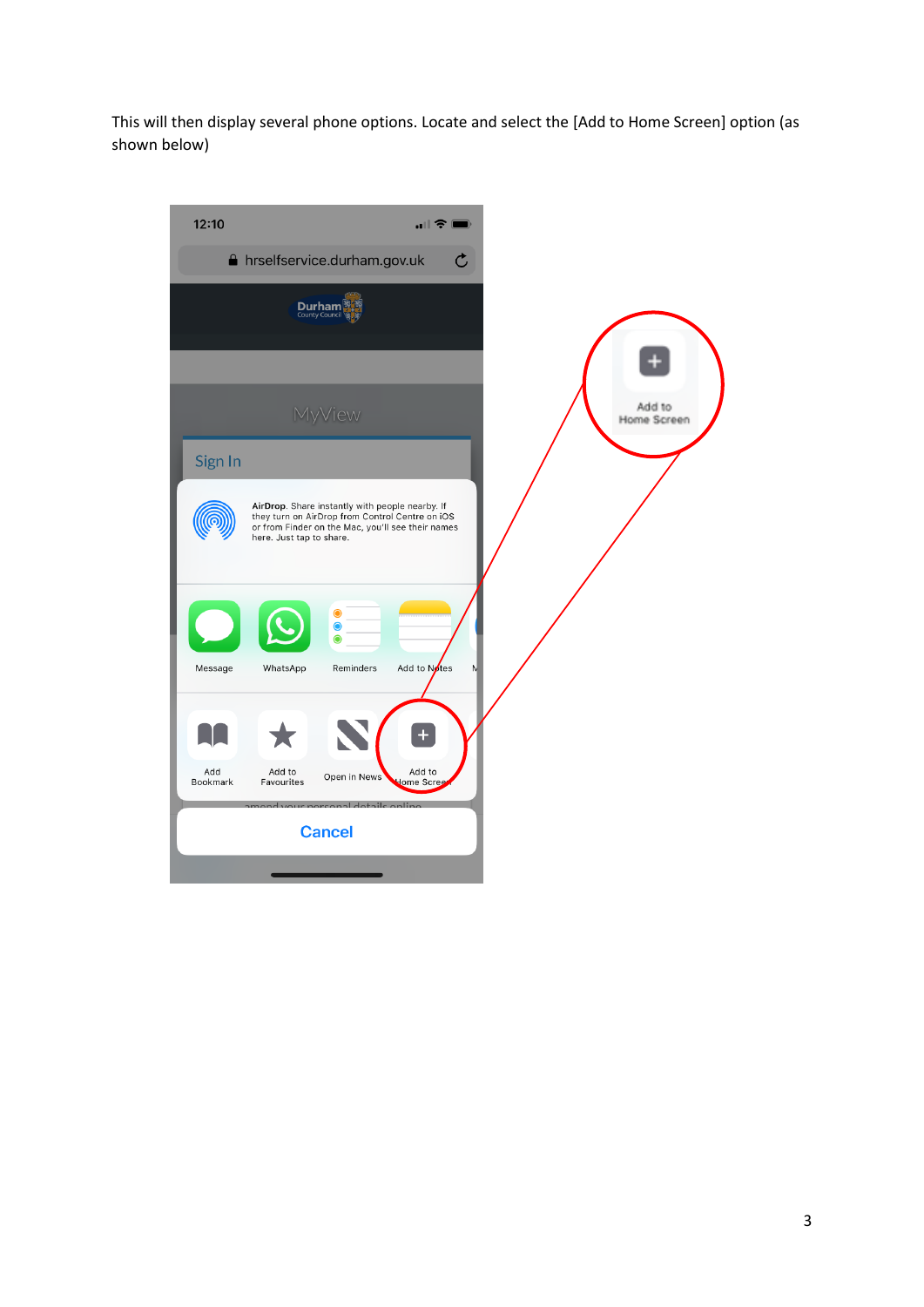This will then display several phone options. Locate and select the [Add to Home Screen] option (as shown below)

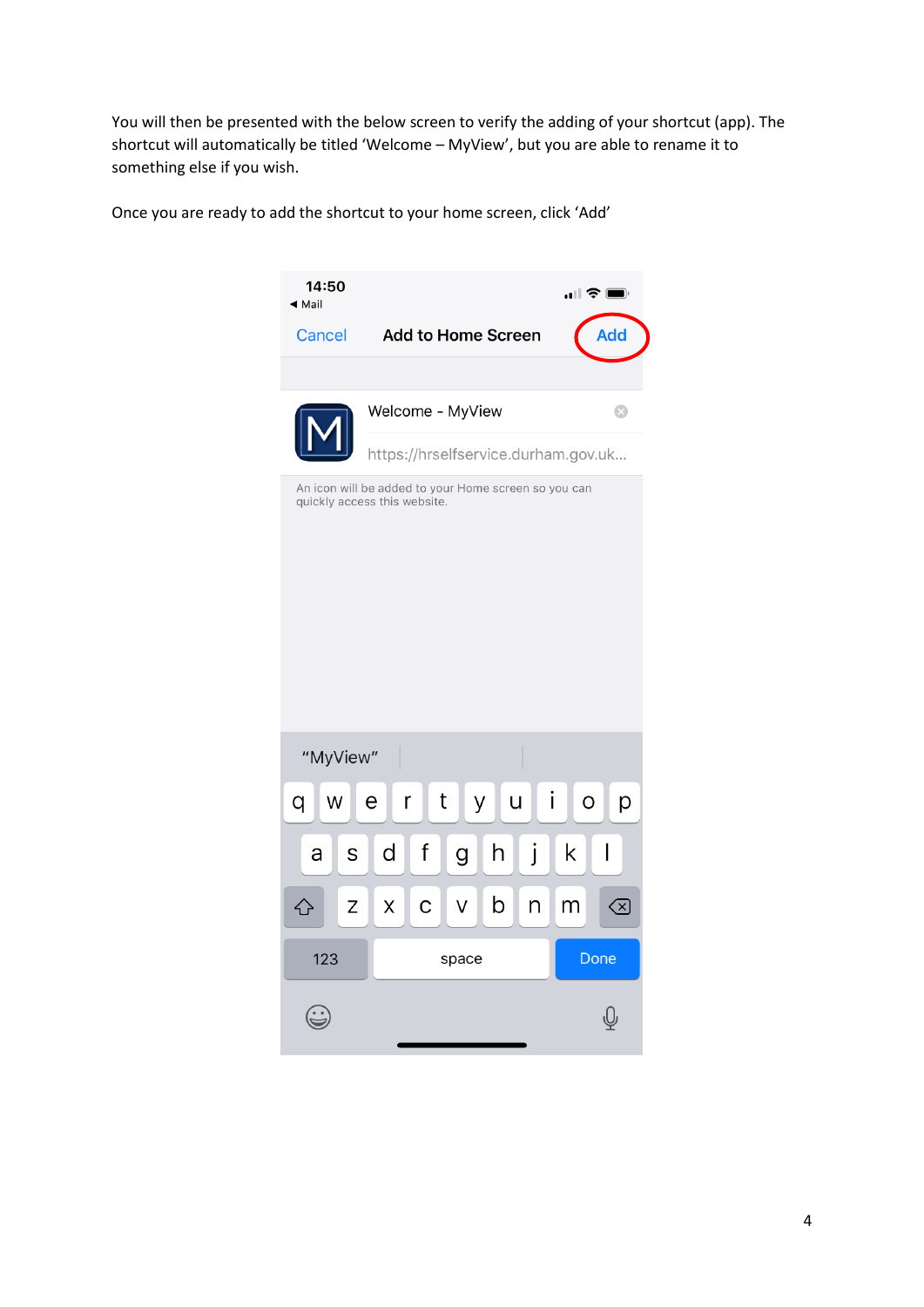You will then be presented with the below screen to verify the adding of your shortcut (app). The shortcut will automatically be titled 'Welcome – MyView', but you are able to rename it to something else if you wish.

Once you are ready to add the shortcut to your home screen, click 'Add'